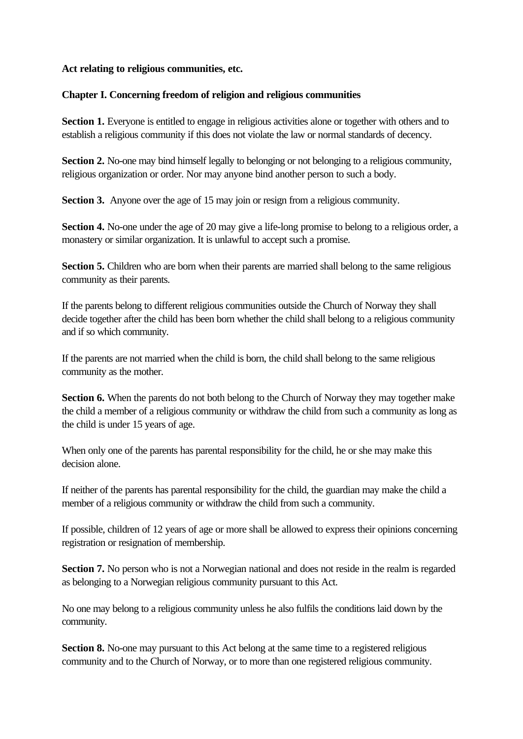#### **Act relating to religious communities, etc.**

### **Chapter I. Concerning freedom of religion and religious communities**

**Section 1.** Everyone is entitled to engage in religious activities alone or together with others and to establish a religious community if this does not violate the law or normal standards of decency.

**Section 2.** No-one may bind himself legally to belonging or not belonging to a religious community, religious organization or order. Nor may anyone bind another person to such a body.

**Section 3.** Anyone over the age of 15 may join or resign from a religious community.

**Section 4.** No-one under the age of 20 may give a life-long promise to belong to a religious order, a monastery or similar organization. It is unlawful to accept such a promise.

**Section 5.** Children who are born when their parents are married shall belong to the same religious community as their parents.

If the parents belong to different religious communities outside the Church of Norway they shall decide together after the child has been born whether the child shall belong to a religious community and if so which community.

If the parents are not married when the child is born, the child shall belong to the same religious community as the mother.

**Section 6.** When the parents do not both belong to the Church of Norway they may together make the child a member of a religious community or withdraw the child from such a community as long as the child is under 15 years of age.

When only one of the parents has parental responsibility for the child, he or she may make this decision alone.

If neither of the parents has parental responsibility for the child, the guardian may make the child a member of a religious community or withdraw the child from such a community.

If possible, children of 12 years of age or more shall be allowed to express their opinions concerning registration or resignation of membership.

**Section 7.** No person who is not a Norwegian national and does not reside in the realm is regarded as belonging to a Norwegian religious community pursuant to this Act.

No one may belong to a religious community unless he also fulfils the conditions laid down by the community.

**Section 8.** No-one may pursuant to this Act belong at the same time to a registered religious community and to the Church of Norway, or to more than one registered religious community.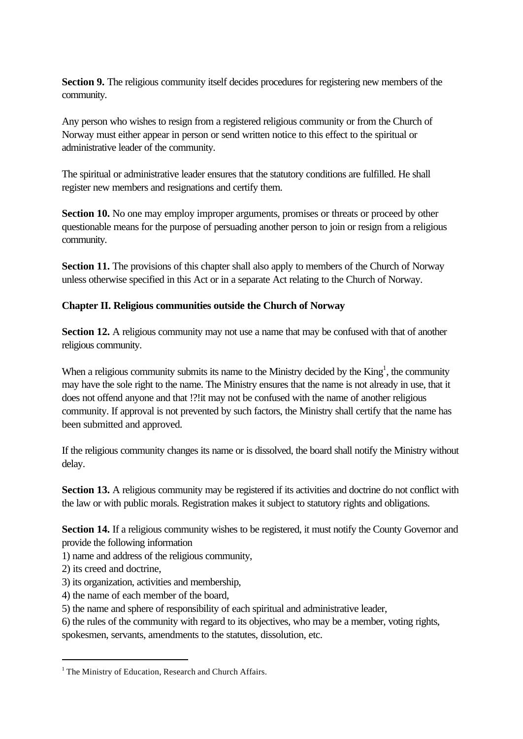**Section 9.** The religious community itself decides procedures for registering new members of the community.

Any person who wishes to resign from a registered religious community or from the Church of Norway must either appear in person or send written notice to this effect to the spiritual or administrative leader of the community.

The spiritual or administrative leader ensures that the statutory conditions are fulfilled. He shall register new members and resignations and certify them.

**Section 10.** No one may employ improper arguments, promises or threats or proceed by other questionable means for the purpose of persuading another person to join or resign from a religious community.

**Section 11.** The provisions of this chapter shall also apply to members of the Church of Norway unless otherwise specified in this Act or in a separate Act relating to the Church of Norway.

## **Chapter II. Religious communities outside the Church of Norway**

**Section 12.** A religious community may not use a name that may be confused with that of another religious community.

When a religious community submits its name to the Ministry decided by the  $King<sup>1</sup>$ , the community may have the sole right to the name. The Ministry ensures that the name is not already in use, that it does not offend anyone and that !?!it may not be confused with the name of another religious community. If approval is not prevented by such factors, the Ministry shall certify that the name has been submitted and approved.

If the religious community changes its name or is dissolved, the board shall notify the Ministry without delay.

**Section 13.** A religious community may be registered if its activities and doctrine do not conflict with the law or with public morals. Registration makes it subject to statutory rights and obligations.

**Section 14.** If a religious community wishes to be registered, it must notify the County Governor and provide the following information

1) name and address of the religious community,

2) its creed and doctrine,

l

- 3) its organization, activities and membership,
- 4) the name of each member of the board,
- 5) the name and sphere of responsibility of each spiritual and administrative leader,
- 6) the rules of the community with regard to its objectives, who may be a member, voting rights,

spokesmen, servants, amendments to the statutes, dissolution, etc.

<sup>&</sup>lt;sup>1</sup> The Ministry of Education, Research and Church Affairs.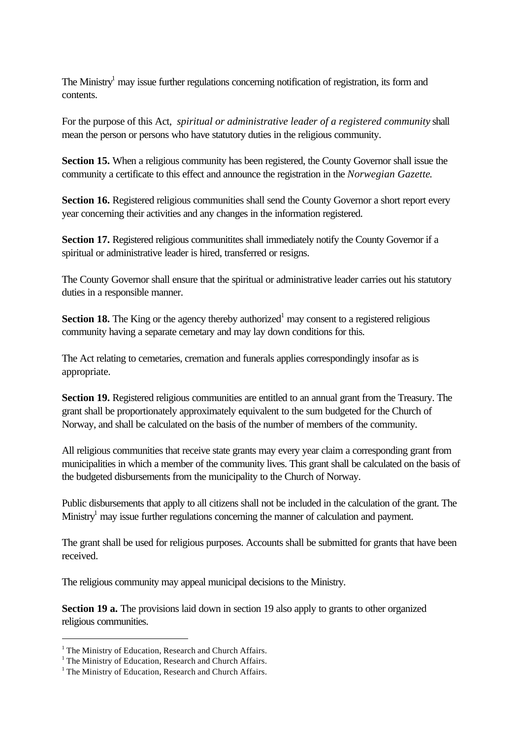The Ministry<sup>1</sup> may issue further regulations concerning notification of registration, its form and contents.

For the purpose of this Act, *spiritual or administrative leader of a registered community* shall mean the person or persons who have statutory duties in the religious community.

**Section 15.** When a religious community has been registered, the County Governor shall issue the community a certificate to this effect and announce the registration in the *Norwegian Gazette*.

Section 16. Registered religious communities shall send the County Governor a short report every year concerning their activities and any changes in the information registered.

**Section 17.** Registered religious communitites shall immediately notify the County Governor if a spiritual or administrative leader is hired, transferred or resigns.

The County Governor shall ensure that the spiritual or administrative leader carries out his statutory duties in a responsible manner.

**Section 18.** The King or the agency thereby authorized<sup>1</sup> may consent to a registered religious community having a separate cemetary and may lay down conditions for this.

The Act relating to cemetaries, cremation and funerals applies correspondingly insofar as is appropriate.

**Section 19.** Registered religious communities are entitled to an annual grant from the Treasury. The grant shall be proportionately approximately equivalent to the sum budgeted for the Church of Norway, and shall be calculated on the basis of the number of members of the community.

All religious communities that receive state grants may every year claim a corresponding grant from municipalities in which a member of the community lives. This grant shall be calculated on the basis of the budgeted disbursements from the municipality to the Church of Norway.

Public disbursements that apply to all citizens shall not be included in the calculation of the grant. The Ministry<sup>1</sup> may issue further regulations concerning the manner of calculation and payment.

The grant shall be used for religious purposes. Accounts shall be submitted for grants that have been received.

The religious community may appeal municipal decisions to the Ministry.

**Section 19 a.** The provisions laid down in section 19 also apply to grants to other organized religious communities.

<sup>&</sup>lt;sup>1</sup> The Ministry of Education, Research and Church Affairs.

<sup>&</sup>lt;sup>1</sup> The Ministry of Education, Research and Church Affairs.

<sup>&</sup>lt;sup>1</sup> The Ministry of Education, Research and Church Affairs.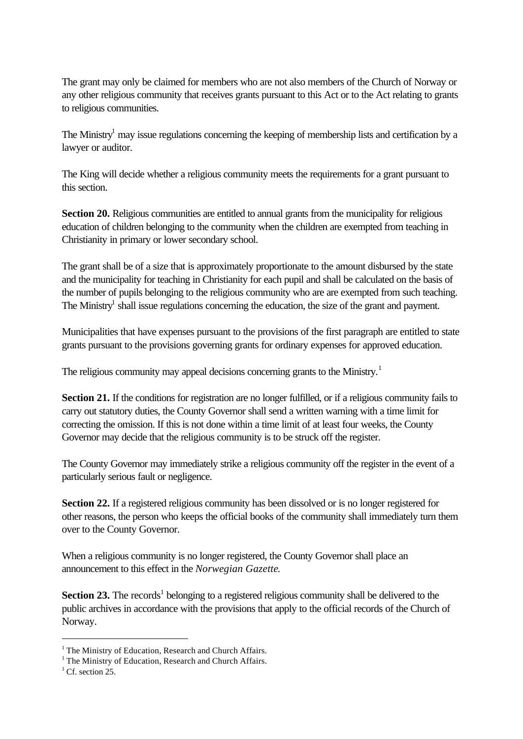The grant may only be claimed for members who are not also members of the Church of Norway or any other religious community that receives grants pursuant to this Act or to the Act relating to grants to religious communities.

The Ministry<sup>1</sup> may issue regulations concerning the keeping of membership lists and certification by a lawyer or auditor.

The King will decide whether a religious community meets the requirements for a grant pursuant to this section.

**Section 20.** Religious communities are entitled to annual grants from the municipality for religious education of children belonging to the community when the children are exempted from teaching in Christianity in primary or lower secondary school.

The grant shall be of a size that is approximately proportionate to the amount disbursed by the state and the municipality for teaching in Christianity for each pupil and shall be calculated on the basis of the number of pupils belonging to the religious community who are are exempted from such teaching. The Ministry<sup>1</sup> shall issue regulations concerning the education, the size of the grant and payment.

Municipalities that have expenses pursuant to the provisions of the first paragraph are entitled to state grants pursuant to the provisions governing grants for ordinary expenses for approved education.

The religious community may appeal decisions concerning grants to the Ministry.<sup>1</sup>

**Section 21.** If the conditions for registration are no longer fulfilled, or if a religious community fails to carry out statutory duties, the County Governor shall send a written warning with a time limit for correcting the omission. If this is not done within a time limit of at least four weeks, the County Governor may decide that the religious community is to be struck off the register.

The County Governor may immediately strike a religious community off the register in the event of a particularly serious fault or negligence.

**Section 22.** If a registered religious community has been dissolved or is no longer registered for other reasons, the person who keeps the official books of the community shall immediately turn them over to the County Governor.

When a religious community is no longer registered, the County Governor shall place an announcement to this effect in the *Norwegian Gazette*.

**Section 23.** The records<sup>1</sup> belonging to a registered religious community shall be delivered to the public archives in accordance with the provisions that apply to the official records of the Church of Norway.

<sup>&</sup>lt;sup>1</sup> The Ministry of Education, Research and Church Affairs.

<sup>&</sup>lt;sup>1</sup> The Ministry of Education, Research and Church Affairs.

 $<sup>1</sup>$  Cf. section 25.</sup>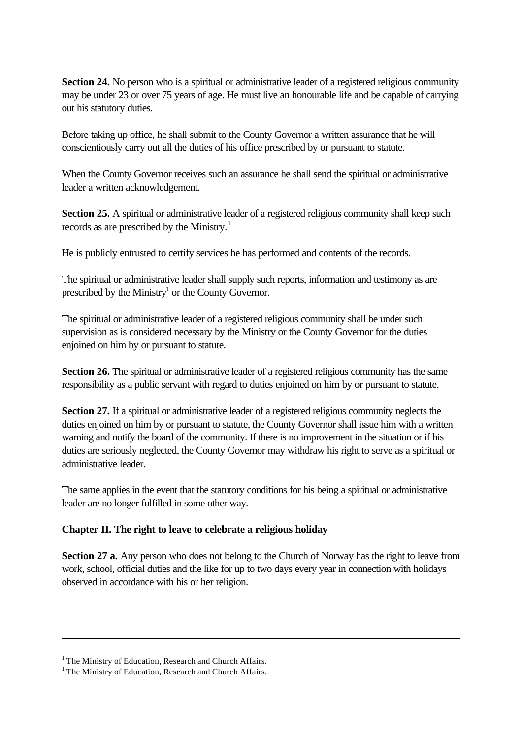**Section 24.** No person who is a spiritual or administrative leader of a registered religious community may be under 23 or over 75 years of age. He must live an honourable life and be capable of carrying out his statutory duties.

Before taking up office, he shall submit to the County Governor a written assurance that he will conscientiously carry out all the duties of his office prescribed by or pursuant to statute.

When the County Governor receives such an assurance he shall send the spiritual or administrative leader a written acknowledgement.

**Section 25.** A spiritual or administrative leader of a registered religious community shall keep such records as are prescribed by the Ministry.<sup>1</sup>

He is publicly entrusted to certify services he has performed and contents of the records.

The spiritual or administrative leader shall supply such reports, information and testimony as are prescribed by the Ministry<sup>1</sup> or the County Governor.

The spiritual or administrative leader of a registered religious community shall be under such supervision as is considered necessary by the Ministry or the County Governor for the duties enjoined on him by or pursuant to statute.

**Section 26.** The spiritual or administrative leader of a registered religious community has the same responsibility as a public servant with regard to duties enjoined on him by or pursuant to statute.

**Section 27.** If a spiritual or administrative leader of a registered religious community neglects the duties enjoined on him by or pursuant to statute, the County Governor shall issue him with a written warning and notify the board of the community. If there is no improvement in the situation or if his duties are seriously neglected, the County Governor may withdraw his right to serve as a spiritual or administrative leader.

The same applies in the event that the statutory conditions for his being a spiritual or administrative leader are no longer fulfilled in some other way.

# **Chapter II. The right to leave to celebrate a religious holiday**

**Section 27 a.** Any person who does not belong to the Church of Norway has the right to leave from work, school, official duties and the like for up to two days every year in connection with holidays observed in accordance with his or her religion.

<sup>&</sup>lt;sup>1</sup> The Ministry of Education, Research and Church Affairs.

<sup>&</sup>lt;sup>1</sup> The Ministry of Education, Research and Church Affairs.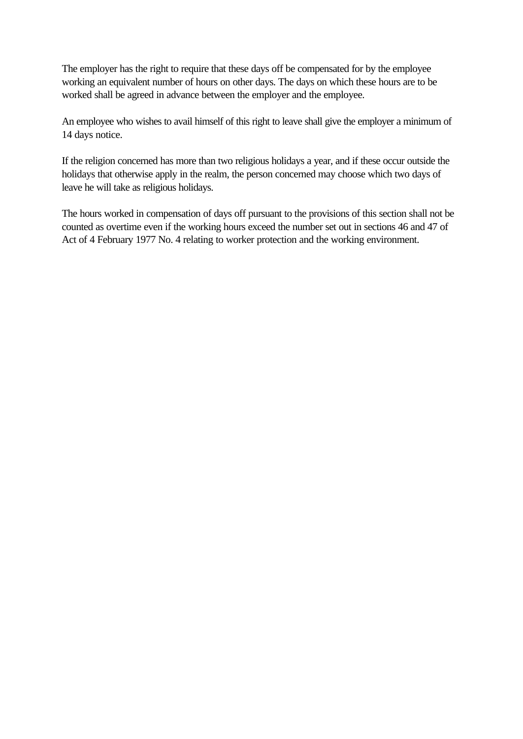The employer has the right to require that these days off be compensated for by the employee working an equivalent number of hours on other days. The days on which these hours are to be worked shall be agreed in advance between the employer and the employee.

An employee who wishes to avail himself of this right to leave shall give the employer a minimum of 14 days notice.

If the religion concerned has more than two religious holidays a year, and if these occur outside the holidays that otherwise apply in the realm, the person concerned may choose which two days of leave he will take as religious holidays.

The hours worked in compensation of days off pursuant to the provisions of this section shall not be counted as overtime even if the working hours exceed the number set out in sections 46 and 47 of Act of 4 February 1977 No. 4 relating to worker protection and the working environment.